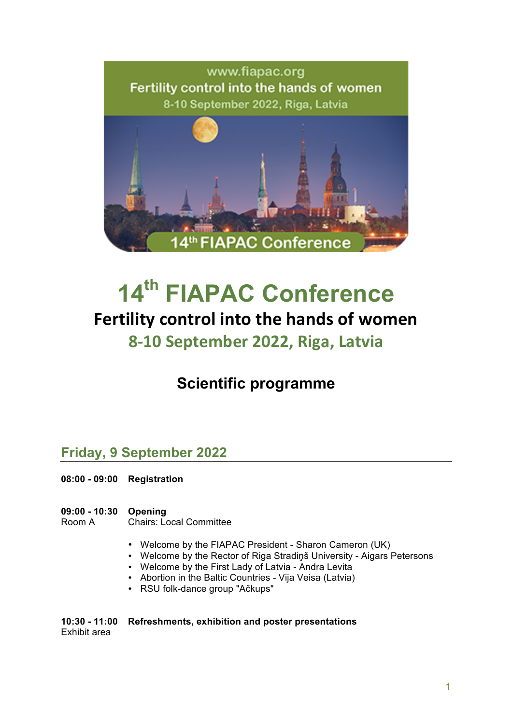

# **14th FIAPAC Conference** Fertility control into the hands of women **8-10 September 2022, Riga, Latvia**

# **Scientific programme**

### **Friday, 9 September 2022**

- **08:00 - 09:00 Registration**
- **09:00 - 10:30 Opening** Chairs: Local Committee
	- Welcome by the FIAPAC President Sharon Cameron (UK)
	- Welcome by the Rector of Riga Stradiņš University Aigars Petersons
	- Welcome by the First Lady of Latvia Andra Levita
	- Abortion in the Baltic Countries Vija Veisa (Latvia)
	- RSU folk-dance group "Ačkups"

#### **10:30 - 11:00 Refreshments, exhibition and poster presentations** Exhibit area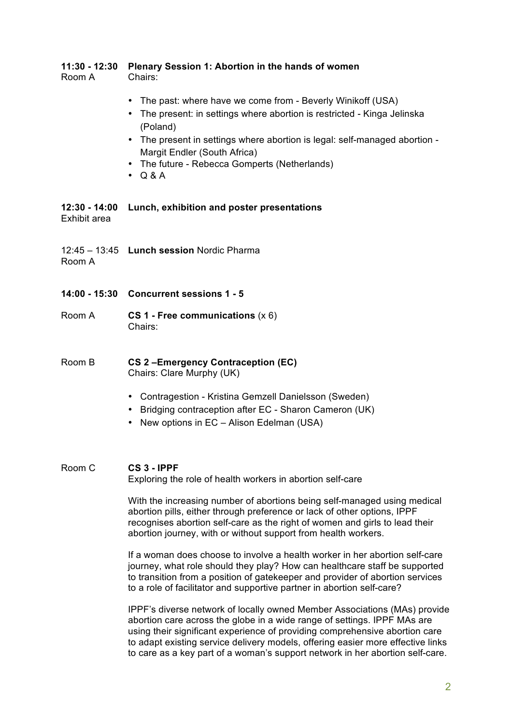### **11:30 - 12:30 Plenary Session 1: Abortion in the hands of women**

Room A Chairs:

- The past: where have we come from Beverly Winikoff (USA)
- The present: in settings where abortion is restricted Kinga Jelinska (Poland)
- The present in settings where abortion is legal: self-managed abortion Margit Endler (South Africa)
- The future Rebecca Gomperts (Netherlands)
- $\bullet$  Q & A

#### **12:30 - 14:00 Lunch, exhibition and poster presentations**  Exhibit area

12:45 – 13:45 **Lunch session** Nordic Pharma

Room A

- **14:00 - 15:30 Concurrent sessions 1 - 5**
- Room A **CS 1 - Free communications** (x 6) Chairs:
- Room B **CS 2 –Emergency Contraception (EC)** Chairs: Clare Murphy (UK)
	- Contragestion Kristina Gemzell Danielsson (Sweden)
	- Bridging contraception after EC Sharon Cameron (UK)
	- New options in EC Alison Edelman (USA)

#### Room C **CS 3 - IPPF** Exploring the role of health workers in abortion self-care

With the increasing number of abortions being self-managed using medical abortion pills, either through preference or lack of other options, IPPF recognises abortion self-care as the right of women and girls to lead their abortion journey, with or without support from health workers.

If a woman does choose to involve a health worker in her abortion self-care journey, what role should they play? How can healthcare staff be supported to transition from a position of gatekeeper and provider of abortion services to a role of facilitator and supportive partner in abortion self-care?

IPPF's diverse network of locally owned Member Associations (MAs) provide abortion care across the globe in a wide range of settings. IPPF MAs are using their significant experience of providing comprehensive abortion care to adapt existing service delivery models, offering easier more effective links to care as a key part of a woman's support network in her abortion self-care.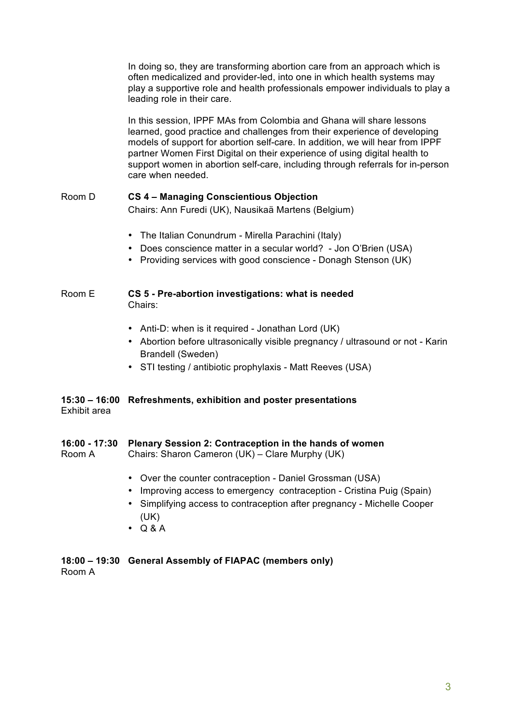In doing so, they are transforming abortion care from an approach which is often medicalized and provider-led, into one in which health systems may play a supportive role and health professionals empower individuals to play a leading role in their care.

In this session, IPPF MAs from Colombia and Ghana will share lessons learned, good practice and challenges from their experience of developing models of support for abortion self-care. In addition, we will hear from IPPF partner Women First Digital on their experience of using digital health to support women in abortion self-care, including through referrals for in-person care when needed.

### Room D **CS 4 – Managing Conscientious Objection**

Chairs: Ann Furedi (UK), Nausikaä Martens (Belgium)

- The Italian Conundrum Mirella Parachini (Italy)
- Does conscience matter in a secular world? Jon O'Brien (USA)
- Providing services with good conscience Donagh Stenson (UK)

### Room E **CS 5 - Pre-abortion investigations: what is needed** Chairs:

- Anti-D: when is it required Jonathan Lord (UK)
- Abortion before ultrasonically visible pregnancy / ultrasound or not Karin Brandell (Sweden)
- STI testing / antibiotic prophylaxis Matt Reeves (USA)

### **15:30 – 16:00 Refreshments, exhibition and poster presentations** Exhibit area

### **16:00 - 17:30 Plenary Session 2: Contraception in the hands of women**

Room A Chairs: Sharon Cameron (UK) – Clare Murphy (UK)

- Over the counter contraception Daniel Grossman (USA)
- Improving access to emergency contraception Cristina Puig (Spain)
- Simplifying access to contraception after pregnancy Michelle Cooper (UK)
- Q & A

### **18:00 – 19:30 General Assembly of FIAPAC (members only)**

Room A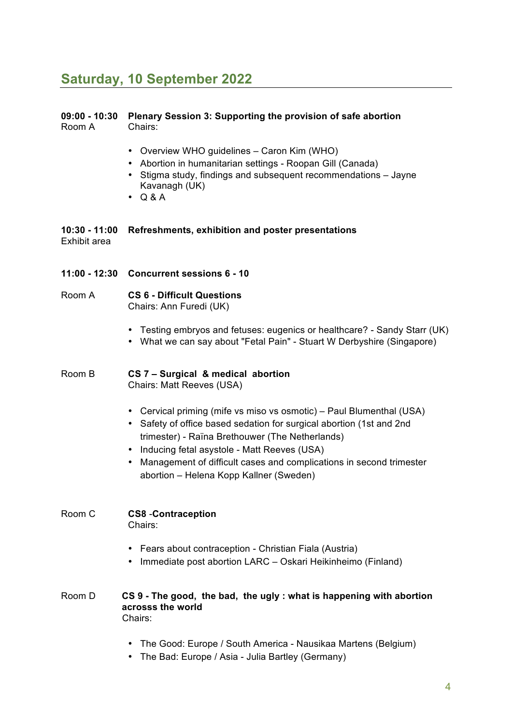# **Saturday, 10 September 2022**

| $09:00 - 10:30$<br>Room A       | Plenary Session 3: Supporting the provision of safe abortion<br>Chairs:                                                                                                                                                                                                                                                                                                 |
|---------------------------------|-------------------------------------------------------------------------------------------------------------------------------------------------------------------------------------------------------------------------------------------------------------------------------------------------------------------------------------------------------------------------|
|                                 | • Overview WHO guidelines - Caron Kim (WHO)<br>Abortion in humanitarian settings - Roopan Gill (Canada)<br>• Stigma study, findings and subsequent recommendations - Jayne<br>Kavanagh (UK)<br>$\bullet$ Q&A                                                                                                                                                            |
| $10:30 - 11:00$<br>Exhibit area | Refreshments, exhibition and poster presentations                                                                                                                                                                                                                                                                                                                       |
| 11:00 - 12:30                   | <b>Concurrent sessions 6 - 10</b>                                                                                                                                                                                                                                                                                                                                       |
| Room A                          | <b>CS 6 - Difficult Questions</b><br>Chairs: Ann Furedi (UK)                                                                                                                                                                                                                                                                                                            |
|                                 | • Testing embryos and fetuses: eugenics or healthcare? - Sandy Starr (UK)<br>• What we can say about "Fetal Pain" - Stuart W Derbyshire (Singapore)                                                                                                                                                                                                                     |
| Room B                          | CS 7 - Surgical & medical abortion<br>Chairs: Matt Reeves (USA)                                                                                                                                                                                                                                                                                                         |
|                                 | • Cervical priming (mife vs miso vs osmotic) – Paul Blumenthal (USA)<br>• Safety of office based sedation for surgical abortion (1st and 2nd<br>trimester) - Raïna Brethouwer (The Netherlands)<br>• Inducing fetal asystole - Matt Reeves (USA)<br>Management of difficult cases and complications in second trimester<br>٠<br>abortion - Helena Kopp Kallner (Sweden) |
| Room C                          | <b>CS8</b> - Contraception<br>Chairs:                                                                                                                                                                                                                                                                                                                                   |
|                                 | • Fears about contraception - Christian Fiala (Austria)<br>• Immediate post abortion LARC - Oskari Heikinheimo (Finland)                                                                                                                                                                                                                                                |
| Room D                          | CS 9 - The good, the bad, the ugly: what is happening with abortion<br>acrosss the world<br>Chairs:                                                                                                                                                                                                                                                                     |
|                                 | The Good: Europe / South America - Nausikaa Martens (Belgium)                                                                                                                                                                                                                                                                                                           |

• The Bad: Europe / Asia - Julia Bartley (Germany)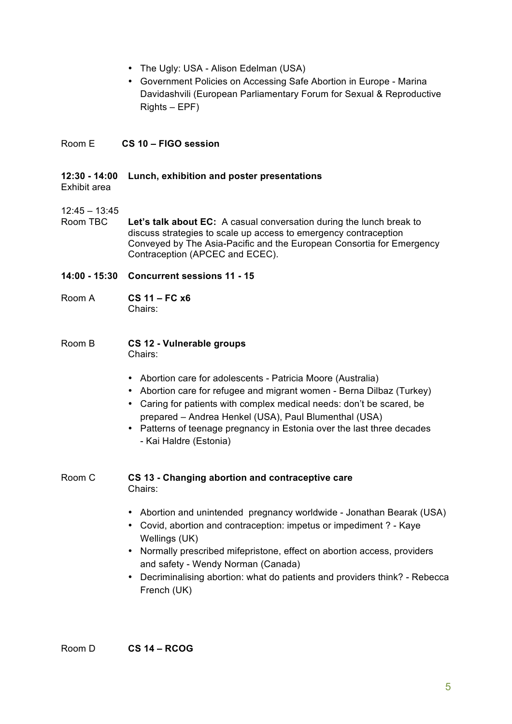- The Ugly: USA Alison Edelman (USA)
- Government Policies on Accessing Safe Abortion in Europe Marina Davidashvili (European Parliamentary Forum for Sexual & Reproductive Rights – EPF)

### Room E **CS 10 – FIGO session**

### **12:30 - 14:00 Lunch, exhibition and poster presentations**

Exhibit area

### $12:45 - 13:45$

Room TBC **Let's talk about EC:** A casual conversation during the lunch break to discuss strategies to scale up access to emergency contraception Conveyed by The Asia-Pacific and the European Consortia for Emergency Contraception (APCEC and ECEC).

- **14:00 - 15:30 Concurrent sessions 11 - 15**
- Room A **CS 11 – FC x6**  Chairs:
- Room B **CS 12 - Vulnerable groups** Chairs:
	- Abortion care for adolescents Patricia Moore (Australia)
	- Abortion care for refugee and migrant women Berna Dilbaz (Turkey)
	- Caring for patients with complex medical needs: don't be scared, be prepared – Andrea Henkel (USA), Paul Blumenthal (USA)
	- Patterns of teenage pregnancy in Estonia over the last three decades - Kai Haldre (Estonia)
- Room C **CS 13 - Changing abortion and contraceptive care** Chairs:
	- Abortion and unintended pregnancy worldwide Jonathan Bearak (USA)
	- Covid, abortion and contraception: impetus or impediment ? Kaye Wellings (UK)
	- Normally prescribed mifepristone, effect on abortion access, providers and safety - Wendy Norman (Canada)
	- Decriminalising abortion: what do patients and providers think? Rebecca French (UK)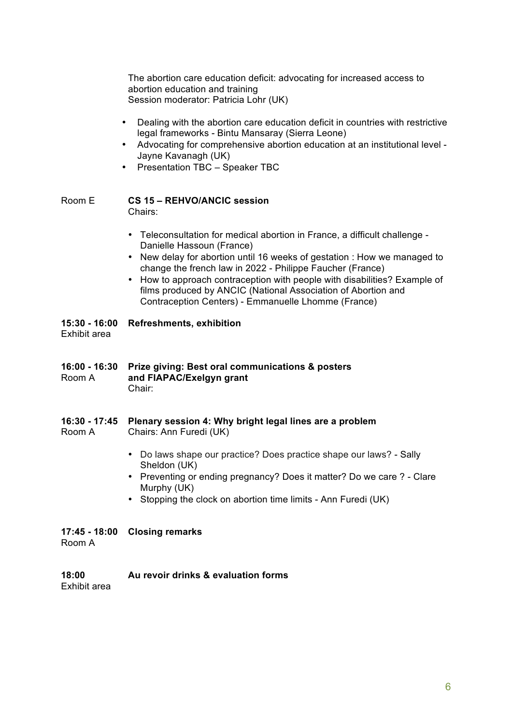The abortion care education deficit: advocating for increased access to abortion education and training Session moderator: Patricia Lohr (UK)

- Dealing with the abortion care education deficit in countries with restrictive legal frameworks - Bintu Mansaray (Sierra Leone)
- Advocating for comprehensive abortion education at an institutional level Jayne Kavanagh (UK)
- Presentation TBC Speaker TBC

## Room E **CS 15 – REHVO/ANCIC session**

- Chairs:
- Teleconsultation for medical abortion in France, a difficult challenge Danielle Hassoun (France)
- New delay for abortion until 16 weeks of gestation : How we managed to change the french law in 2022 - Philippe Faucher (France)
- How to approach contraception with people with disabilities? Example of films produced by ANCIC (National Association of Abortion and Contraception Centers) - Emmanuelle Lhomme (France)

### **15:30 - 16:00 Refreshments, exhibition**

Exhibit area

- **16:00 - 16:30 Prize giving: Best oral communications & posters** Room A **and FIAPAC/Exelgyn grant** Chair:
- **16:30 - 17:45 Plenary session 4: Why bright legal lines are a problem**

Room A Chairs: Ann Furedi (UK)

- Do laws shape our practice? Does practice shape our laws? Sally Sheldon (UK)
- Preventing or ending pregnancy? Does it matter? Do we care ? Clare Murphy (UK)
- Stopping the clock on abortion time limits Ann Furedi (UK)

### **17:45 - 18:00 Closing remarks**

Room A

### **18:00 Au revoir drinks & evaluation forms**

Exhibit area